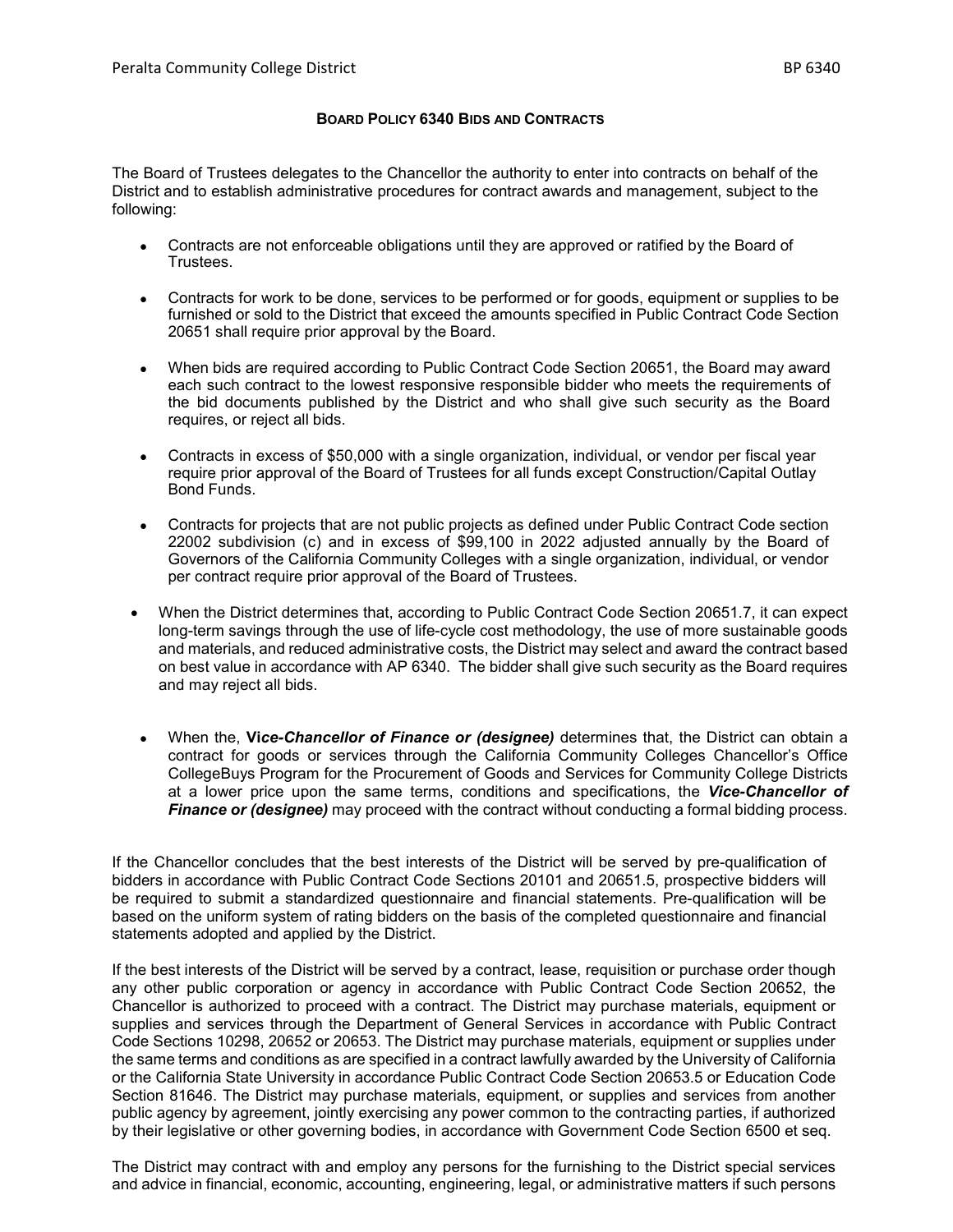## **BOARD POLICY 6340 BIDS AND CONTRACTS**

The Board of Trustees delegates to the Chancellor the authority to enter into contracts on behalf of the District and to establish administrative procedures for contract awards and management, subject to the following:

- Contracts are not enforceable obligations until they are approved or ratified by the Board of Trustees.
- Contracts for work to be done, services to be performed or for goods, equipment or supplies to be furnished or sold to the District that exceed the amounts specified in Public Contract Code Section 20651 shall require prior approval by the Board.
- When bids are required according to Public Contract Code Section 20651, the Board may award each such contract to the lowest responsive responsible bidder who meets the requirements of the bid documents published by the District and who shall give such security as the Board requires, or reject all bids.
- Contracts in excess of \$50,000 with a single organization, individual, or vendor per fiscal year require prior approval of the Board of Trustees for all funds except Construction/Capital Outlay Bond Funds.
- Contracts for projects that are not public projects as defined under Public Contract Code section 22002 subdivision (c) and in excess of \$99,100 in 2022 adjusted annually by the Board of Governors of the California Community Colleges with a single organization, individual, or vendor per contract require prior approval of the Board of Trustees.
- When the District determines that, according to Public Contract Code Section 20651.7, it can expect long-term savings through the use of life-cycle cost methodology, the use of more sustainable goods and materials, and reduced administrative costs, the District may select and award the contract based on best value in accordance with AP 6340. The bidder shall give such security as the Board requires and may reject all bids.
- When the, **Vi***ce-Chancellor of Finance or (designee)* determines that, the District can obtain a contract for goods or services through the California Community Colleges Chancellor's Office CollegeBuys Program for the Procurement of Goods and Services for Community College Districts at a lower price upon the same terms, conditions and specifications, the *Vice-Chancellor of Finance or (designee)* may proceed with the contract without conducting a formal bidding process.

If the Chancellor concludes that the best interests of the District will be served by pre-qualification of bidders in accordance with Public Contract Code Sections 20101 and 20651.5, prospective bidders will be required to submit a standardized questionnaire and financial statements. Pre-qualification will be based on the uniform system of rating bidders on the basis of the completed questionnaire and financial statements adopted and applied by the District.

If the best interests of the District will be served by a contract, lease, requisition or purchase order though any other public corporation or agency in accordance with Public Contract Code Section 20652, the Chancellor is authorized to proceed with a contract. The District may purchase materials, equipment or supplies and services through the Department of General Services in accordance with Public Contract Code Sections 10298, 20652 or 20653. The District may purchase materials, equipment or supplies under the same terms and conditions as are specified in a contract lawfully awarded by the University of California or the California State University in accordance Public Contract Code Section 20653.5 or Education Code Section 81646. The District may purchase materials, equipment, or supplies and services from another public agency by agreement, jointly exercising any power common to the contracting parties, if authorized by their legislative or other governing bodies, in accordance with Government Code Section 6500 et seq.

The District may contract with and employ any persons for the furnishing to the District special services and advice in financial, economic, accounting, engineering, legal, or administrative matters if such persons